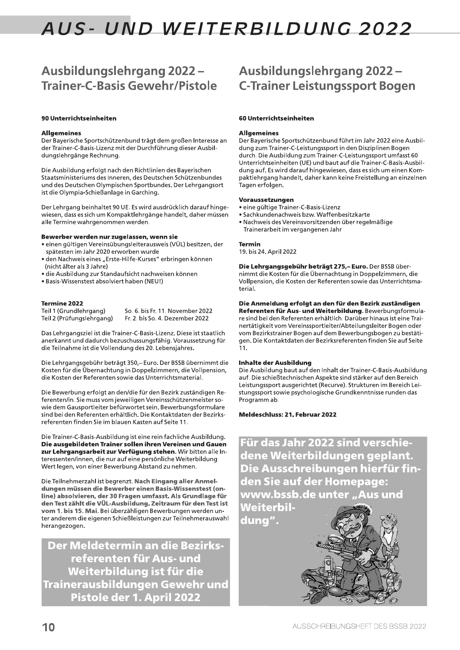# Ausbildungslehrgang 2022-**Trainer-C-Basis Gewehr/Pistole**

# 90 Unterrichtseinheiten

# **Allgemeines**

Der Bayerische Sportschützenbund trägt dem großen Interesse an der Trainer-C-Basis-Lizenz mit der Durchführung dieser Ausbildungslehrgänge Rechnung.

Die Ausbildung erfolgt nach den Richtlinien des Bayerischen Staatsministeriums des Inneren, des Deutschen Schützenbundes und des Deutschen Olympischen Sportbundes. Der Lehrgangsort ist die Olympia-Schießanlage in Garching.

Der Lehrgang beinhaltet 90 UE. Es wird ausdrücklich darauf hingewiesen, dass es sich um Kompaktlehrgänge handelt, daher müssen alle Termine wahrgenommen werden.

### Bewerber werden nur zugelassen, wenn sie

- · einen gültigen Vereinsübungsleiterausweis (VÜL) besitzen, der spätesten im Jahr 2020 erworben wurde
- · den Nachweis eines "Erste-Hilfe-Kurses" erbringen können (nicht älter als 3 Jahre)
- · die Ausbildung zur Standaufsicht nachweisen können
- · Basis-Wissenstest absolviert haben (NEU!)

# **Termine 2022**

Teil 1 (Grundlehrgang) Teil 2 (Prüfungslehrgang) So. 6. bis Fr. 11. November 2022 Fr. 2. bis So. 4. Dezember 2022

Das Lehrgangsziel ist die Trainer-C-Basis-Lizenz. Diese ist staatlich anerkannt und dadurch bezuschussungsfähig. Voraussetzung für die Teilnahme ist die Vollendung des 20. Lebensjahres.

Die Lehrgangsgebühr beträgt 350,-Euro. Der BSSB übernimmt die Kosten für die Übernachtung in Doppelzimmern, die Vollpension, die Kosten der Referenten sowie das Unterrichtsmaterial.

Die Bewerbung erfolgt an den/die für den Bezirk zuständigen Referenten/in. Sie muss vom jeweiligen Vereinsschützenmeister sowie dem Gausportleiter befürwortet sein. Bewerbungsformulare sind bei den Referenten erhältlich. Die Kontaktdaten der Bezirksreferenten finden Sie im blauen Kasten auf Seite 11.

Die Trainer-C-Basis-Ausbildung ist eine rein fachliche Ausbildung. Die ausgebildeten Trainer sollen ihren Vereinen und Gauen zur Lehrgangsarbeit zur Verfügung stehen. Wir bitten alle Interessenten/innen, die nur auf eine persönliche Weiterbildung Wert legen, von einer Bewerbung Abstand zu nehmen.

Die Teilnehmerzahl ist begrenzt. Nach Eingang aller Anmeldungen müssen die Bewerber einen Basis-Wissenstest (online) absolvieren, der 30 Fragen umfasst. Als Grundlage für den Test zählt die VÜL-Ausbildung. Zeitraum für den Test ist vom 1. bis 15. Mai. Bei überzähligen Bewerbungen werden unter anderem die eigenen Schießleistungen zur Teilnehmerauswahl herangezogen.

Der Meldetermin an die Bezirksreferenten für Aus- und Weiterbildung ist für die <u>Trainerausbildungen Gewehr und</u> Pistole der 1. April 2022

# **Ausbildungslehrgang 2022 -C-Trainer Leistungssport Bogen**

# 60 Unterrichtseinheiten

# **Allgemeines**

Der Bayerische Sportschützenbund führt im Jahr 2022 eine Ausbildung zum Trainer-C-Leistungssport in den Disziplinen Bogen durch. Die Ausbildung zum Trainer-C-Leistungssport umfasst 60 Unterrichtseinheiten (UE) und baut auf die Trainer-C-Basis-Ausbildung auf. Es wird darauf hingewiesen, dass es sich um einen Kompaktlehrgang handelt, daher kann keine Freistellung an einzelnen Tagen erfolgen.

### Voraussetzungen

- · eine gültige Trainer-C-Basis-Lizenz
- · Sachkundenachweis bzw. Waffenbesitzkarte
- · Nachweis des Vereinsvorsitzenden über regelmäßige Trainerarbeit im vergangenen Jahr

# **Termin**

19. bis 24. April 2022

Die Lehrgangsgebühr beträgt 275,- Euro. Der BSSB übernimmt die Kosten für die Übernachtung in Doppelzimmern, die Vollpension, die Kosten der Referenten sowie das Unterrichtsmaterial.

Die Anmeldung erfolgt an den für den Bezirk zuständigen Referenten für Aus- und Weiterbildung. Bewerbungsformulare sind bei den Referenten erhältlich. Darüber hinaus ist eine Trainertätigkeit vom Vereinssportleiter/Abteilungsleiter Bogen oder vom Bezirkstrainer Bogen auf dem Bewerbungsbogen zu bestätigen. Die Kontaktdaten der Bezirksreferenten finden Sie auf Seite 11.

# **Inhalte der Ausbildung**

Die Ausbildung baut auf den Inhalt der Trainer-C-Basis-Ausbildung auf. Die schießtechnischen Aspekte sind stärker auf den Bereich Leistungssport ausgerichtet (Recurve). Strukturen im Bereich Leistungssport sowie psychologische Grundkenntnisse runden das Programm ab.

# Meldeschluss: 21. Februar 2022

Für das Jahr 2022 sind verschiedene Weiterbildungen geplant. Die Ausschreibungen hierfür finden Sie auf der Homepage: www.bssb.de unter "Aus und Weiterbil-

dung".